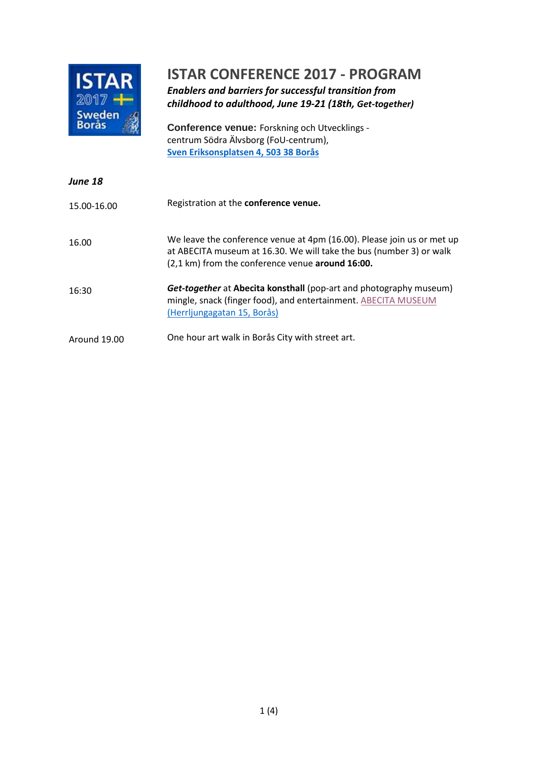

### **ISTAR CONFERENCE 2017 - PROGRAM**

*Enablers and barriers for successful transition from childhood to adulthood, June 19-21 (18th, Get-together)*

**Conference venue:** Forskning och Utvecklings centrum Södra Älvsborg (FoU-centrum), **[Sven Eriksonsplatsen 4, 503 38 Borås](https://www.google.se/maps/place/Sven+Eriksonsplatsen+4,+503+38+Bor%C3%A5s/@57.720217,12.934363,308m/data=!3m1!1e3!4m5!3m4!1s0x465aa0ad3e31c34f:0xae3451c50a1588d4!8m2!3d57.7203074!4d12.9344501?hl=sv)**

| <b>June 18</b> |                                                                                                                                                                                                   |
|----------------|---------------------------------------------------------------------------------------------------------------------------------------------------------------------------------------------------|
| 15.00-16.00    | Registration at the conference venue.                                                                                                                                                             |
| 16.00          | We leave the conference venue at 4pm (16.00). Please join us or met up<br>at ABECITA museum at 16.30. We will take the bus (number 3) or walk<br>(2,1 km) from the conference venue around 16:00. |
| 16:30          | <b>Get-together</b> at <b>Abecita konsthall</b> (pop-art and photography museum)<br>mingle, snack (finger food), and entertainment. ABECITA MUSEUM<br>(Herrljungagatan 15, Borås)                 |
| Around 19.00   | One hour art walk in Borås City with street art.                                                                                                                                                  |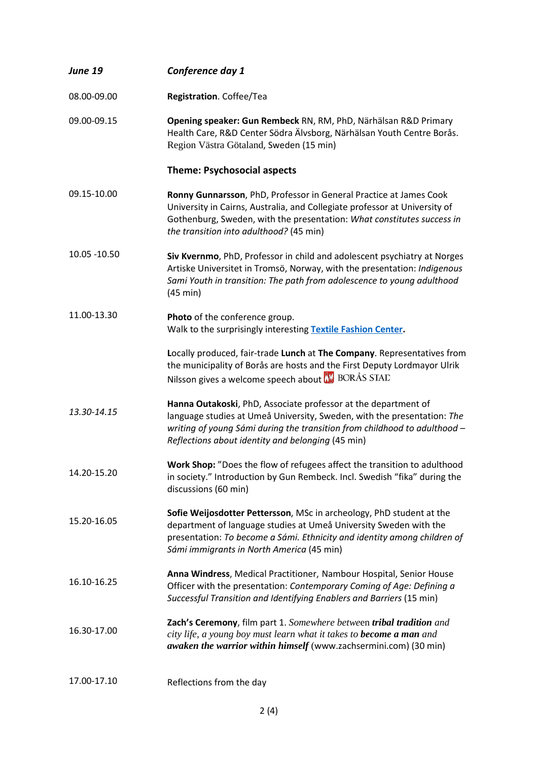| <b>June 19</b> | Conference day 1                                                                                                                                                                                                                                                            |
|----------------|-----------------------------------------------------------------------------------------------------------------------------------------------------------------------------------------------------------------------------------------------------------------------------|
| 08.00-09.00    | Registration. Coffee/Tea                                                                                                                                                                                                                                                    |
| 09.00-09.15    | Opening speaker: Gun Rembeck RN, RM, PhD, Närhälsan R&D Primary<br>Health Care, R&D Center Södra Älvsborg, Närhälsan Youth Centre Borås.<br>Region Västra Götaland, Sweden (15 min)                                                                                         |
|                | <b>Theme: Psychosocial aspects</b>                                                                                                                                                                                                                                          |
| 09.15-10.00    | Ronny Gunnarsson, PhD, Professor in General Practice at James Cook<br>University in Cairns, Australia, and Collegiate professor at University of<br>Gothenburg, Sweden, with the presentation: What constitutes success in<br>the transition into adulthood? (45 min)       |
| 10.05 - 10.50  | Siv Kvernmo, PhD, Professor in child and adolescent psychiatry at Norges<br>Artiske Universitet in Tromsö, Norway, with the presentation: Indigenous<br>Sami Youth in transition: The path from adolescence to young adulthood<br>(45 min)                                  |
| 11.00-13.30    | Photo of the conference group.<br>Walk to the surprisingly interesting Textile Fashion Center.                                                                                                                                                                              |
|                | Locally produced, fair-trade Lunch at The Company. Representatives from<br>the municipality of Borås are hosts and the First Deputy Lordmayor Ulrik<br>Nilsson gives a welcome speech about W BORÅS STAD                                                                    |
| 13.30-14.15    | Hanna Outakoski, PhD, Associate professor at the department of<br>language studies at Umeå University, Sweden, with the presentation: The<br>writing of young Sámi during the transition from childhood to adulthood -<br>Reflections about identity and belonging (45 min) |
| 14.20-15.20    | Work Shop: "Does the flow of refugees affect the transition to adulthood<br>in society." Introduction by Gun Rembeck. Incl. Swedish "fika" during the<br>discussions (60 min)                                                                                               |
| 15.20-16.05    | Sofie Weijosdotter Pettersson, MSc in archeology, PhD student at the<br>department of language studies at Umeå University Sweden with the<br>presentation: To become a Sámi. Ethnicity and identity among children of<br>Sámi immigrants in North America (45 min)          |
| 16.10-16.25    | Anna Windress, Medical Practitioner, Nambour Hospital, Senior House<br>Officer with the presentation: Contemporary Coming of Age: Defining a<br>Successful Transition and Identifying Enablers and Barriers (15 min)                                                        |
| 16.30-17.00    | Zach's Ceremony, film part 1. Somewhere between tribal tradition and<br>city life, a young boy must learn what it takes to <b>become a man</b> and<br>awaken the warrior within himself (www.zachsermini.com) (30 min)                                                      |
| 17.00-17.10    | Reflections from the day                                                                                                                                                                                                                                                    |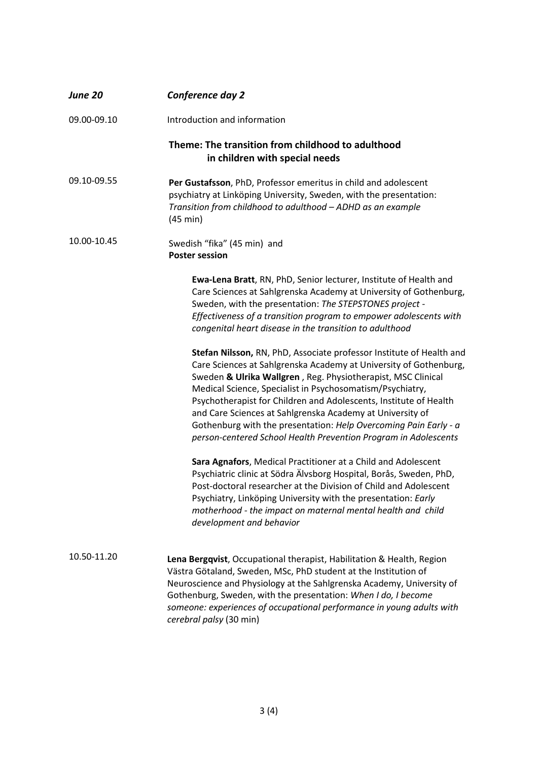| <b>June 20</b> | Conference day 2                                                                                                                                                                                                                                                                                                                                                                                                                                                                                                                                |
|----------------|-------------------------------------------------------------------------------------------------------------------------------------------------------------------------------------------------------------------------------------------------------------------------------------------------------------------------------------------------------------------------------------------------------------------------------------------------------------------------------------------------------------------------------------------------|
| 09.00-09.10    | Introduction and information                                                                                                                                                                                                                                                                                                                                                                                                                                                                                                                    |
|                | Theme: The transition from childhood to adulthood<br>in children with special needs                                                                                                                                                                                                                                                                                                                                                                                                                                                             |
| 09.10-09.55    | Per Gustafsson, PhD, Professor emeritus in child and adolescent<br>psychiatry at Linköping University, Sweden, with the presentation:<br>Transition from childhood to adulthood - ADHD as an example<br>(45 min)                                                                                                                                                                                                                                                                                                                                |
| 10.00-10.45    | Swedish "fika" (45 min) and<br><b>Poster session</b>                                                                                                                                                                                                                                                                                                                                                                                                                                                                                            |
|                | Ewa-Lena Bratt, RN, PhD, Senior lecturer, Institute of Health and<br>Care Sciences at Sahlgrenska Academy at University of Gothenburg,<br>Sweden, with the presentation: The STEPSTONES project -<br>Effectiveness of a transition program to empower adolescents with<br>congenital heart disease in the transition to adulthood                                                                                                                                                                                                               |
|                | Stefan Nilsson, RN, PhD, Associate professor Institute of Health and<br>Care Sciences at Sahlgrenska Academy at University of Gothenburg,<br>Sweden & Ulrika Wallgren, Reg. Physiotherapist, MSC Clinical<br>Medical Science, Specialist in Psychosomatism/Psychiatry,<br>Psychotherapist for Children and Adolescents, Institute of Health<br>and Care Sciences at Sahlgrenska Academy at University of<br>Gothenburg with the presentation: Help Overcoming Pain Early - a<br>person-centered School Health Prevention Program in Adolescents |
|                | Sara Agnafors, Medical Practitioner at a Child and Adolescent<br>Psychiatric clinic at Södra Älvsborg Hospital, Borås, Sweden, PhD,<br>Post-doctoral researcher at the Division of Child and Adolescent<br>Psychiatry, Linköping University with the presentation: Early<br>motherhood - the impact on maternal mental health and child<br>development and behavior                                                                                                                                                                             |
| 10.50-11.20    | Lena Bergqvist, Occupational therapist, Habilitation & Health, Region<br>Västra Götaland, Sweden, MSc, PhD student at the Institution of<br>Neuroscience and Physiology at the Sahlgrenska Academy, University of<br>Gothenburg, Sweden, with the presentation: When I do, I become<br>someone: experiences of occupational performance in young adults with<br>cerebral palsy (30 min)                                                                                                                                                         |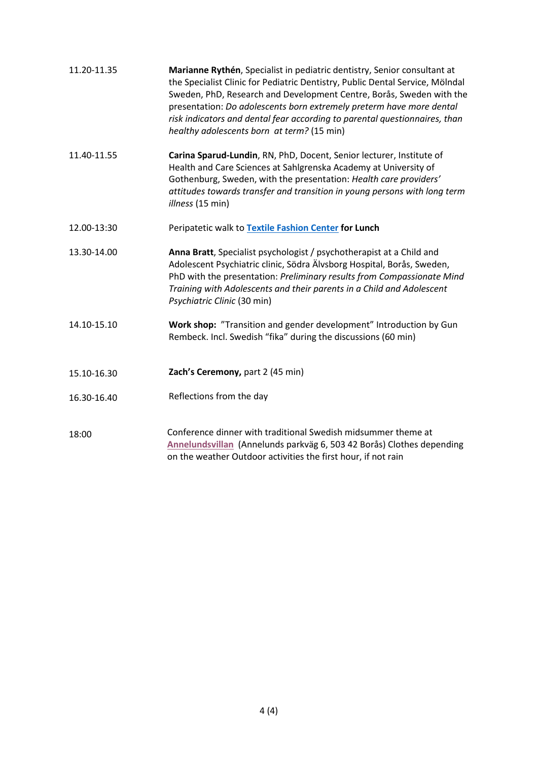| 11.20-11.35 | Marianne Rythén, Specialist in pediatric dentistry, Senior consultant at<br>the Specialist Clinic for Pediatric Dentistry, Public Dental Service, Mölndal<br>Sweden, PhD, Research and Development Centre, Borås, Sweden with the<br>presentation: Do adolescents born extremely preterm have more dental<br>risk indicators and dental fear according to parental questionnaires, than<br>healthy adolescents born at term? (15 min) |
|-------------|---------------------------------------------------------------------------------------------------------------------------------------------------------------------------------------------------------------------------------------------------------------------------------------------------------------------------------------------------------------------------------------------------------------------------------------|
| 11.40-11.55 | Carina Sparud-Lundin, RN, PhD, Docent, Senior lecturer, Institute of<br>Health and Care Sciences at Sahlgrenska Academy at University of<br>Gothenburg, Sweden, with the presentation: Health care providers'<br>attitudes towards transfer and transition in young persons with long term<br>illness (15 min)                                                                                                                        |
| 12.00-13:30 | Peripatetic walk to Textile Fashion Center for Lunch                                                                                                                                                                                                                                                                                                                                                                                  |
| 13.30-14.00 | Anna Bratt, Specialist psychologist / psychotherapist at a Child and<br>Adolescent Psychiatric clinic, Södra Älvsborg Hospital, Borås, Sweden,<br>PhD with the presentation: Preliminary results from Compassionate Mind<br>Training with Adolescents and their parents in a Child and Adolescent<br>Psychiatric Clinic (30 min)                                                                                                      |
| 14.10-15.10 | Work shop: "Transition and gender development" Introduction by Gun<br>Rembeck. Incl. Swedish "fika" during the discussions (60 min)                                                                                                                                                                                                                                                                                                   |
| 15.10-16.30 | Zach's Ceremony, part 2 (45 min)                                                                                                                                                                                                                                                                                                                                                                                                      |
| 16.30-16.40 | Reflections from the day                                                                                                                                                                                                                                                                                                                                                                                                              |
| 18:00       | Conference dinner with traditional Swedish midsummer theme at<br>Annelundsvillan (Annelunds parkväg 6, 503 42 Borås) Clothes depending<br>on the weather Outdoor activities the first hour, if not rain                                                                                                                                                                                                                               |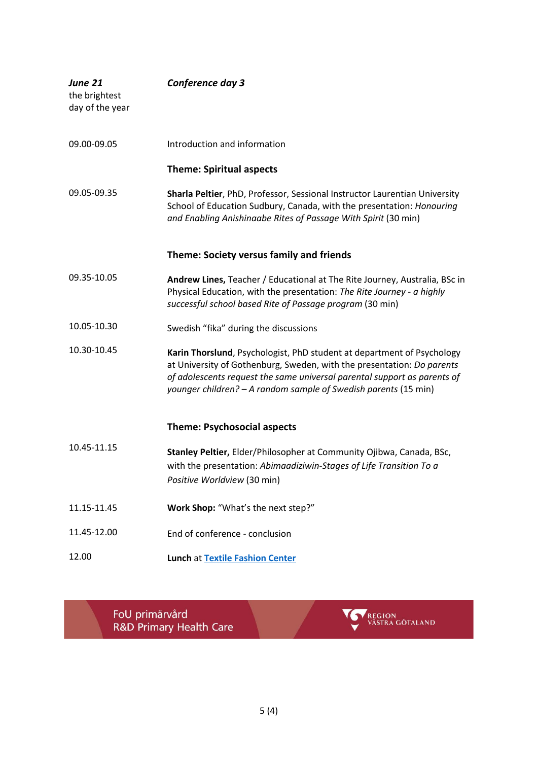| <b>June 21</b><br>the brightest<br>day of the year | Conference day 3                                                                                                                                                                                                                                                                                |
|----------------------------------------------------|-------------------------------------------------------------------------------------------------------------------------------------------------------------------------------------------------------------------------------------------------------------------------------------------------|
| 09.00-09.05                                        | Introduction and information                                                                                                                                                                                                                                                                    |
|                                                    | <b>Theme: Spiritual aspects</b>                                                                                                                                                                                                                                                                 |
| 09.05-09.35                                        | Sharla Peltier, PhD, Professor, Sessional Instructor Laurentian University<br>School of Education Sudbury, Canada, with the presentation: Honouring<br>and Enabling Anishinaabe Rites of Passage With Spirit (30 min)                                                                           |
|                                                    | Theme: Society versus family and friends                                                                                                                                                                                                                                                        |
| 09.35-10.05                                        | Andrew Lines, Teacher / Educational at The Rite Journey, Australia, BSc in<br>Physical Education, with the presentation: The Rite Journey - a highly<br>successful school based Rite of Passage program (30 min)                                                                                |
| 10.05-10.30                                        | Swedish "fika" during the discussions                                                                                                                                                                                                                                                           |
| 10.30-10.45                                        | Karin Thorslund, Psychologist, PhD student at department of Psychology<br>at University of Gothenburg, Sweden, with the presentation: Do parents<br>of adolescents request the same universal parental support as parents of<br>younger children? - A random sample of Swedish parents (15 min) |
|                                                    | <b>Theme: Psychosocial aspects</b>                                                                                                                                                                                                                                                              |
| 10.45-11.15                                        | Stanley Peltier, Elder/Philosopher at Community Ojibwa, Canada, BSc,<br>with the presentation: Abimaadiziwin-Stages of Life Transition To a<br>Positive Worldview (30 min)                                                                                                                      |
| 11.15-11.45                                        | Work Shop: "What's the next step?"                                                                                                                                                                                                                                                              |
| 11.45-12.00                                        | End of conference - conclusion                                                                                                                                                                                                                                                                  |
| 12.00                                              | <b>Lunch at Textile Fashion Center</b>                                                                                                                                                                                                                                                          |

FoU primärvård<br>R&D Primary Health Care

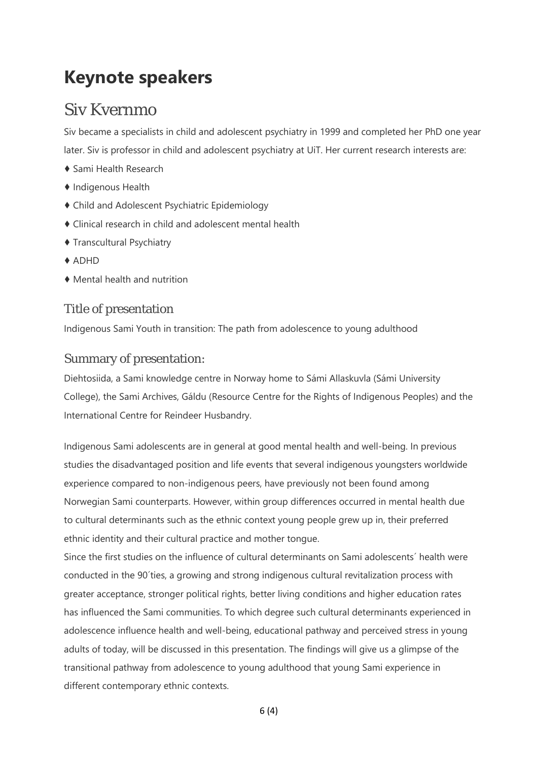# **Keynote speakers**

### Siv Kvernmo

Siv became a specialists in child and adolescent psychiatry in 1999 and completed her PhD one year later. Siv is professor in child and adolescent psychiatry at UiT. Her current research interests are:

- ♦ Sami Health Research
- ♦ Indigenous Health
- ♦ Child and Adolescent Psychiatric Epidemiology
- ♦ Clinical research in child and adolescent mental health
- ♦ Transcultural Psychiatry
- ♦ ADHD
- ♦ Mental health and nutrition

### Title of presentation

Indigenous Sami Youth in transition: The path from adolescence to young adulthood

#### Summary of presentation:

Diehtosiida, a Sami knowledge centre in Norway home to Sámi Allaskuvla (Sámi University College), the Sami Archives, Gáldu (Resource Centre for the Rights of Indigenous Peoples) and the International Centre for Reindeer Husbandry.

Indigenous Sami adolescents are in general at good mental health and well-being. In previous studies the disadvantaged position and life events that several indigenous youngsters worldwide experience compared to non-indigenous peers, have previously not been found among Norwegian Sami counterparts. However, within group differences occurred in mental health due to cultural determinants such as the ethnic context young people grew up in, their preferred ethnic identity and their cultural practice and mother tongue.

Since the first studies on the influence of cultural determinants on Sami adolescents´ health were conducted in the 90´ties, a growing and strong indigenous cultural revitalization process with greater acceptance, stronger political rights, better living conditions and higher education rates has influenced the Sami communities. To which degree such cultural determinants experienced in adolescence influence health and well-being, educational pathway and perceived stress in young adults of today, will be discussed in this presentation. The findings will give us a glimpse of the transitional pathway from adolescence to young adulthood that young Sami experience in different contemporary ethnic contexts.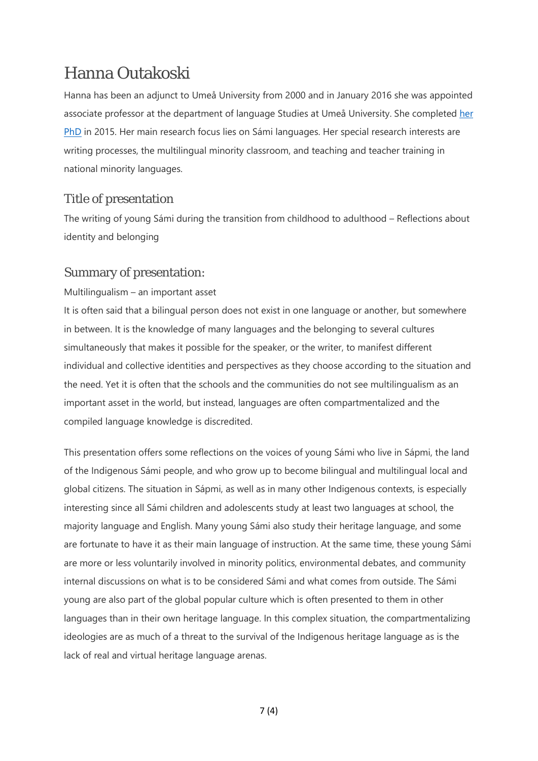### Hanna Outakoski

Hanna has been an adjunct to Umeå University from 2000 and in January 2016 she was appointed associate professor at the department of language Studies at Umeå University. She completed her [PhD](http://www.diva-portal.org/smash/record.jsf?aq=%5B%5B%5D%5D&aq2=%5B%5B%5D%5D&sf=all&aqe=%5B%5D&af=%5B%5D&searchType=LIST_LATEST&sortOrder=author_sort_asc&onlyFullText=false&noOfRows=50&language=sv&pid=diva2%3A811183&dswid=7418) in 2015. Her main research focus lies on Sámi languages. Her special research interests are writing processes, the multilingual minority classroom, and teaching and teacher training in national minority languages.

### Title of presentation

The writing of young Sámi during the transition from childhood to adulthood – Reflections about identity and belonging

#### Summary of presentation:

#### Multilingualism – an important asset

It is often said that a bilingual person does not exist in one language or another, but somewhere in between. It is the knowledge of many languages and the belonging to several cultures simultaneously that makes it possible for the speaker, or the writer, to manifest different individual and collective identities and perspectives as they choose according to the situation and the need. Yet it is often that the schools and the communities do not see multilingualism as an important asset in the world, but instead, languages are often compartmentalized and the compiled language knowledge is discredited.

This presentation offers some reflections on the voices of young Sámi who live in Sápmi, the land of the Indigenous Sámi people, and who grow up to become bilingual and multilingual local and global citizens. The situation in Sápmi, as well as in many other Indigenous contexts, is especially interesting since all Sámi children and adolescents study at least two languages at school, the majority language and English. Many young Sámi also study their heritage language, and some are fortunate to have it as their main language of instruction. At the same time, these young Sámi are more or less voluntarily involved in minority politics, environmental debates, and community internal discussions on what is to be considered Sámi and what comes from outside. The Sámi young are also part of the global popular culture which is often presented to them in other languages than in their own heritage language. In this complex situation, the compartmentalizing ideologies are as much of a threat to the survival of the Indigenous heritage language as is the lack of real and virtual heritage language arenas.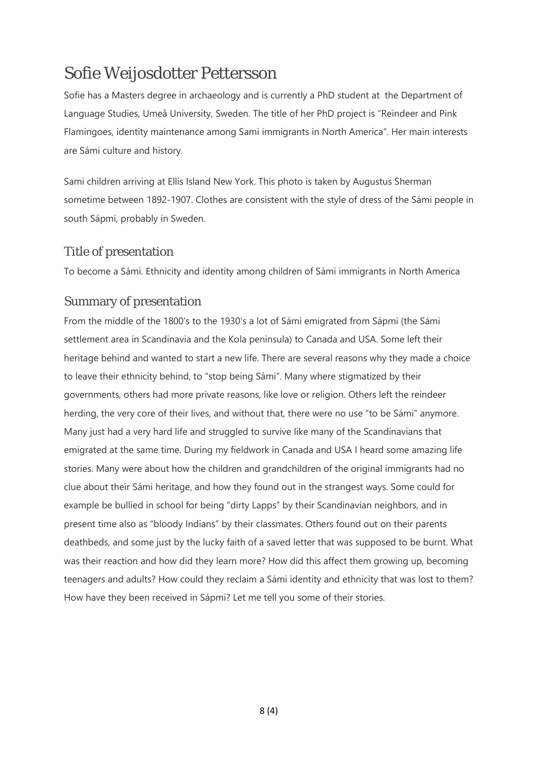### Sofie Weijosdotter Pettersson

Sofie has a Masters degree in archaeology and is currently a PhD student at the Department of Language Studies, Umeå University, Sweden. The title of her PhD project is "Reindeer and Pink Flamingoes, identity maintenance among Sami immigrants in North America". Her main interests are Sámi culture and history.

Sami children arriving at Ellis Island New York. This photo is taken by Augustus Sherman sometime between 1892-1907. Clothes are consistent with the style of dress of the Sámi people in south Sápmi, probably in Sweden.

#### Title of presentation

To become a Sámi. Ethnicity and identity among children of Sámi immigrants in North America

#### Summary of presentation

From the middle of the 1800's to the 1930's a lot of Sámi emigrated from Sápmi (the Sámi settlement area in Scandinavia and the Kola peninsula) to Canada and USA. Some left their heritage behind and wanted to start a new life. There are several reasons why they made a choice to leave their ethnicity behind, to "stop being Sámi". Many where stigmatized by their governments, others had more private reasons, like love or religion. Others left the reindeer herding, the very core of their lives, and without that, there were no use "to be Sámi" anymore. Many just had a very hard life and struggled to survive like many of the Scandinavians that emigrated at the same time. During my fieldwork in Canada and USA I heard some amazing life stories. Many were about how the children and grandchildren of the original immigrants had no clue about their Sámi heritage, and how they found out in the strangest ways. Some could for example be bullied in school for being "dirty Lapps" by their Scandinavian neighbors, and in present time also as "bloody Indians" by their classmates. Others found out on their parents deathbeds, and some just by the lucky faith of a saved letter that was supposed to be burnt. What was their reaction and how did they learn more? How did this affect them growing up, becoming teenagers and adults? How could they reclaim a Sámi identity and ethnicity that was lost to them? How have they been received in Sápmi? Let me tell you some of their stories.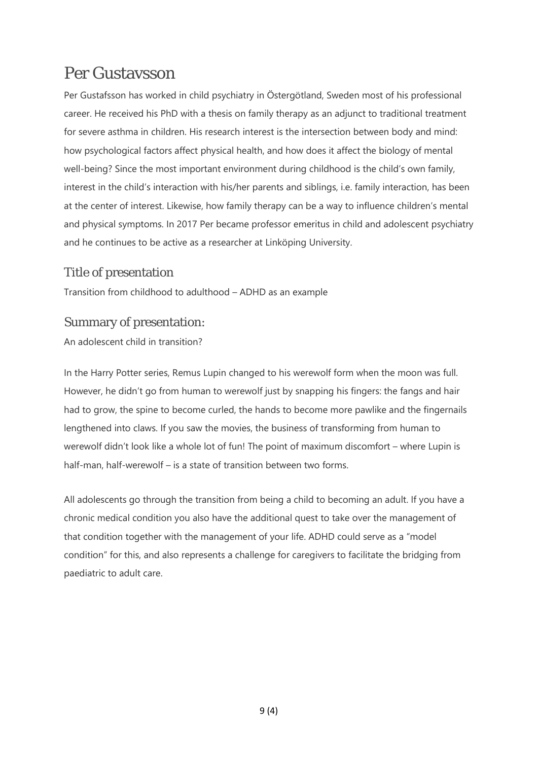### Per Gustavsson

Per Gustafsson has worked in child psychiatry in Östergötland, Sweden most of his professional career. He received his PhD with a thesis on family therapy as an adjunct to traditional treatment for severe asthma in children. His research interest is the intersection between body and mind: how psychological factors affect physical health, and how does it affect the biology of mental well-being? Since the most important environment during childhood is the child's own family, interest in the child's interaction with his/her parents and siblings, i.e. family interaction, has been at the center of interest. Likewise, how family therapy can be a way to influence children's mental and physical symptoms. In 2017 Per became professor emeritus in child and adolescent psychiatry and he continues to be active as a researcher at Linköping University.

#### Title of presentation

Transition from childhood to adulthood – ADHD as an example

### Summary of presentation:

An adolescent child in transition?

In the Harry Potter series, Remus Lupin changed to his werewolf form when the moon was full. However, he didn't go from human to werewolf just by snapping his fingers: the fangs and hair had to grow, the spine to become curled, the hands to become more pawlike and the fingernails lengthened into claws. If you saw the movies, the business of transforming from human to werewolf didn't look like a whole lot of fun! The point of maximum discomfort – where Lupin is half-man, half-werewolf – is a state of transition between two forms.

All adolescents go through the transition from being a child to becoming an adult. If you have a chronic medical condition you also have the additional quest to take over the management of that condition together with the management of your life. ADHD could serve as a "model condition" for this, and also represents a challenge for caregivers to facilitate the bridging from paediatric to adult care.